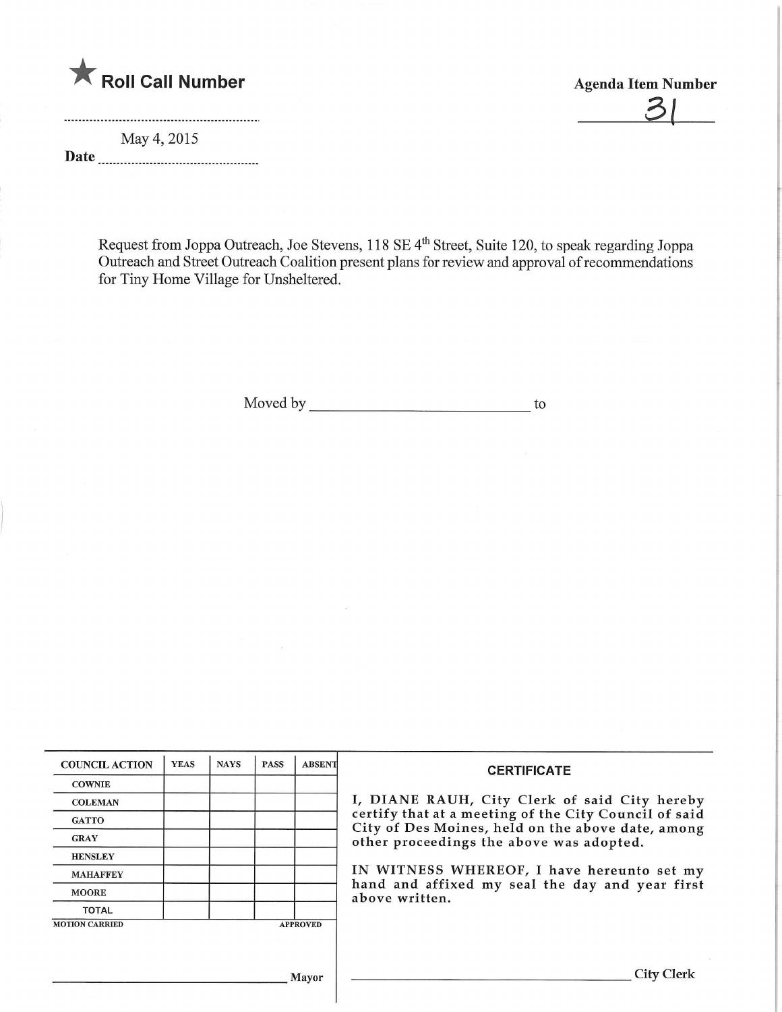

May 4,2015 Date  $\frac{1}{1}$   $\overline{\mathcal{L}}$ 

Request from Joppa Outreach, Joe Stevens, 118 SE 4" Street, Suite 120, to speak regarding Jopp Outreach and Street Outreach Coalition present plans for review and approval of recommendations for Tiny Home Village for Unsheltered.

Moved by to

| <b>COUNCIL ACTION</b> | <b>YEAS</b> | <b>NAYS</b> | <b>PASS</b> | <b>ABSENT</b>   | <b>CERTIFICATE</b><br>I, DIANE RAUH, City Clerk of said City hereby<br>certify that at a meeting of the City Council of said<br>City of Des Moines, held on the above date, among<br>other proceedings the above was adopted. |
|-----------------------|-------------|-------------|-------------|-----------------|-------------------------------------------------------------------------------------------------------------------------------------------------------------------------------------------------------------------------------|
| <b>COWNIE</b>         |             |             |             |                 |                                                                                                                                                                                                                               |
| <b>COLEMAN</b>        |             |             |             |                 |                                                                                                                                                                                                                               |
| <b>GATTO</b>          |             |             |             |                 |                                                                                                                                                                                                                               |
| <b>GRAY</b>           |             |             |             |                 |                                                                                                                                                                                                                               |
| <b>HENSLEY</b>        |             |             |             |                 |                                                                                                                                                                                                                               |
| <b>MAHAFFEY</b>       |             |             |             |                 | IN WITNESS WHEREOF, I have hereunto set my<br>hand and affixed my seal the day and year first<br>above written.                                                                                                               |
| <b>MOORE</b>          |             |             |             |                 |                                                                                                                                                                                                                               |
| <b>TOTAL</b>          |             |             |             |                 |                                                                                                                                                                                                                               |
| <b>MOTION CARRIED</b> |             |             |             | <b>APPROVED</b> |                                                                                                                                                                                                                               |
|                       |             |             |             |                 |                                                                                                                                                                                                                               |
|                       |             |             |             |                 |                                                                                                                                                                                                                               |
| <b>Mayor</b>          |             |             |             |                 | City Clerk                                                                                                                                                                                                                    |